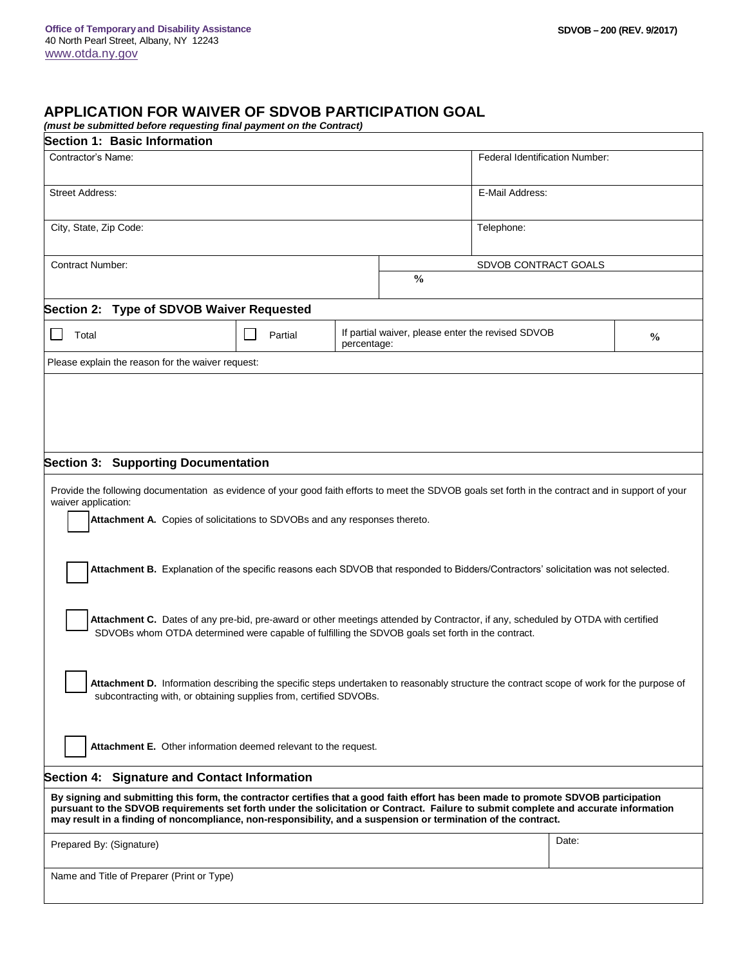## **APPLICATION FOR WAIVER OF SDVOB PARTICIPATION GOAL**

*(must be submitted before requesting final payment on the Contract)*

| Section 1: Basic Information                                                                                                                                                                                                                                                                                                                                                                  |  |                                |                                                                    |                 |       |  |  |
|-----------------------------------------------------------------------------------------------------------------------------------------------------------------------------------------------------------------------------------------------------------------------------------------------------------------------------------------------------------------------------------------------|--|--------------------------------|--------------------------------------------------------------------|-----------------|-------|--|--|
| Contractor's Name:                                                                                                                                                                                                                                                                                                                                                                            |  | Federal Identification Number: |                                                                    |                 |       |  |  |
| <b>Street Address:</b>                                                                                                                                                                                                                                                                                                                                                                        |  |                                |                                                                    | E-Mail Address: |       |  |  |
| City, State, Zip Code:                                                                                                                                                                                                                                                                                                                                                                        |  |                                |                                                                    | Telephone:      |       |  |  |
| <b>Contract Number:</b>                                                                                                                                                                                                                                                                                                                                                                       |  |                                | SDVOB CONTRACT GOALS<br>$\frac{0}{0}$                              |                 |       |  |  |
| Section 2: Type of SDVOB Waiver Requested                                                                                                                                                                                                                                                                                                                                                     |  |                                |                                                                    |                 |       |  |  |
| Total<br>Partial<br>percentage:                                                                                                                                                                                                                                                                                                                                                               |  |                                | If partial waiver, please enter the revised SDVOB<br>$\frac{0}{0}$ |                 |       |  |  |
| Please explain the reason for the waiver request:                                                                                                                                                                                                                                                                                                                                             |  |                                |                                                                    |                 |       |  |  |
|                                                                                                                                                                                                                                                                                                                                                                                               |  |                                |                                                                    |                 |       |  |  |
| Section 3: Supporting Documentation                                                                                                                                                                                                                                                                                                                                                           |  |                                |                                                                    |                 |       |  |  |
| Provide the following documentation as evidence of your good faith efforts to meet the SDVOB goals set forth in the contract and in support of your<br>waiver application:                                                                                                                                                                                                                    |  |                                |                                                                    |                 |       |  |  |
| Attachment A. Copies of solicitations to SDVOBs and any responses thereto.                                                                                                                                                                                                                                                                                                                    |  |                                |                                                                    |                 |       |  |  |
| Attachment B. Explanation of the specific reasons each SDVOB that responded to Bidders/Contractors' solicitation was not selected.                                                                                                                                                                                                                                                            |  |                                |                                                                    |                 |       |  |  |
| Attachment C. Dates of any pre-bid, pre-award or other meetings attended by Contractor, if any, scheduled by OTDA with certified<br>SDVOBs whom OTDA determined were capable of fulfilling the SDVOB goals set forth in the contract.                                                                                                                                                         |  |                                |                                                                    |                 |       |  |  |
| Attachment D. Information describing the specific steps undertaken to reasonably structure the contract scope of work for the purpose of<br>subcontracting with, or obtaining supplies from, certified SDVOBs.                                                                                                                                                                                |  |                                |                                                                    |                 |       |  |  |
| Attachment E. Other information deemed relevant to the request.                                                                                                                                                                                                                                                                                                                               |  |                                |                                                                    |                 |       |  |  |
| Section 4: Signature and Contact Information                                                                                                                                                                                                                                                                                                                                                  |  |                                |                                                                    |                 |       |  |  |
| By signing and submitting this form, the contractor certifies that a good faith effort has been made to promote SDVOB participation<br>pursuant to the SDVOB requirements set forth under the solicitation or Contract. Failure to submit complete and accurate information<br>may result in a finding of noncompliance, non-responsibility, and a suspension or termination of the contract. |  |                                |                                                                    |                 |       |  |  |
| Prepared By: (Signature)                                                                                                                                                                                                                                                                                                                                                                      |  |                                |                                                                    |                 | Date: |  |  |
| Name and Title of Preparer (Print or Type)                                                                                                                                                                                                                                                                                                                                                    |  |                                |                                                                    |                 |       |  |  |